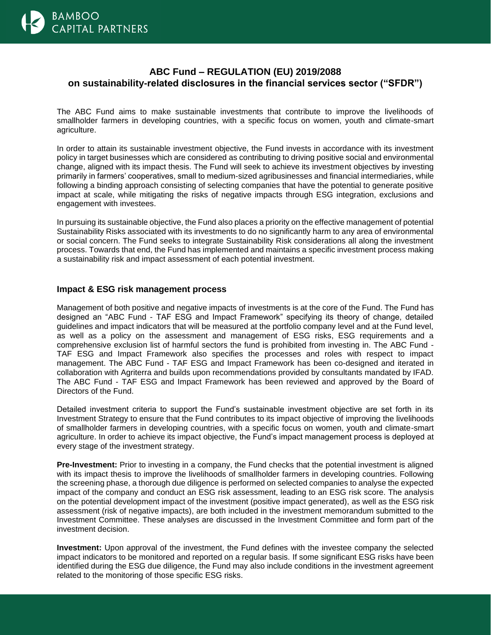

## **ABC Fund – REGULATION (EU) 2019/2088 on sustainability-related disclosures in the financial services sector ("SFDR")**

The ABC Fund aims to make sustainable investments that contribute to improve the livelihoods of smallholder farmers in developing countries, with a specific focus on women, youth and climate-smart agriculture.

In order to attain its sustainable investment objective, the Fund invests in accordance with its investment policy in target businesses which are considered as contributing to driving positive social and environmental change, aligned with its impact thesis. The Fund will seek to achieve its investment objectives by investing primarily in farmers' cooperatives, small to medium-sized agribusinesses and financial intermediaries, while following a binding approach consisting of selecting companies that have the potential to generate positive impact at scale, while mitigating the risks of negative impacts through ESG integration, exclusions and engagement with investees.

In pursuing its sustainable objective, the Fund also places a priority on the effective management of potential Sustainability Risks associated with its investments to do no significantly harm to any area of environmental or social concern. The Fund seeks to integrate Sustainability Risk considerations all along the investment process. Towards that end, the Fund has implemented and maintains a specific investment process making a sustainability risk and impact assessment of each potential investment.

## **Impact & ESG risk management process**

Management of both positive and negative impacts of investments is at the core of the Fund. The Fund has designed an "ABC Fund - TAF ESG and Impact Framework" specifying its theory of change, detailed guidelines and impact indicators that will be measured at the portfolio company level and at the Fund level, as well as a policy on the assessment and management of ESG risks, ESG requirements and a comprehensive exclusion list of harmful sectors the fund is prohibited from investing in. The ABC Fund - TAF ESG and Impact Framework also specifies the processes and roles with respect to impact management. The ABC Fund - TAF ESG and Impact Framework has been co-designed and iterated in collaboration with Agriterra and builds upon recommendations provided by consultants mandated by IFAD. The ABC Fund - TAF ESG and Impact Framework has been reviewed and approved by the Board of Directors of the Fund.

Detailed investment criteria to support the Fund's sustainable investment objective are set forth in its Investment Strategy to ensure that the Fund contributes to its impact objective of improving the livelihoods of smallholder farmers in developing countries, with a specific focus on women, youth and climate-smart agriculture. In order to achieve its impact objective, the Fund's impact management process is deployed at every stage of the investment strategy.

**Pre-Investment:** Prior to investing in a company, the Fund checks that the potential investment is aligned with its impact thesis to improve the livelihoods of smallholder farmers in developing countries. Following the screening phase, a thorough due diligence is performed on selected companies to analyse the expected impact of the company and conduct an ESG risk assessment, leading to an ESG risk score. The analysis on the potential development impact of the investment (positive impact generated), as well as the ESG risk assessment (risk of negative impacts), are both included in the investment memorandum submitted to the Investment Committee. These analyses are discussed in the Investment Committee and form part of the investment decision.

**Investment:** Upon approval of the investment, the Fund defines with the investee company the selected impact indicators to be monitored and reported on a regular basis. If some significant ESG risks have been identified during the ESG due diligence, the Fund may also include conditions in the investment agreement related to the monitoring of those specific ESG risks.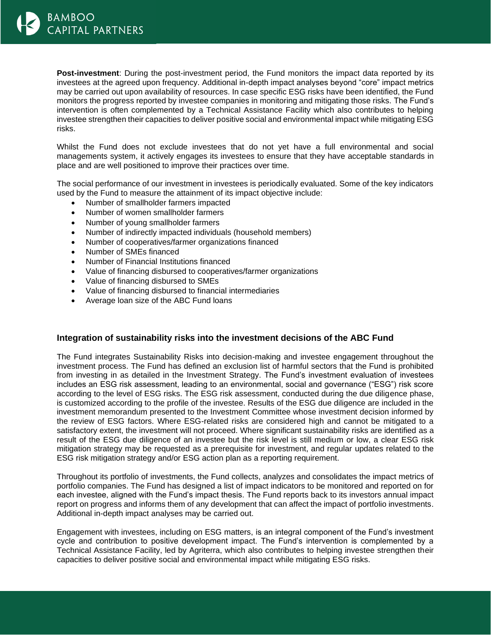**Post-investment**: During the post-investment period, the Fund monitors the impact data reported by its investees at the agreed upon frequency. Additional in-depth impact analyses beyond "core" impact metrics may be carried out upon availability of resources. In case specific ESG risks have been identified, the Fund monitors the progress reported by investee companies in monitoring and mitigating those risks. The Fund's intervention is often complemented by a Technical Assistance Facility which also contributes to helping investee strengthen their capacities to deliver positive social and environmental impact while mitigating ESG risks.

Whilst the Fund does not exclude investees that do not yet have a full environmental and social managements system, it actively engages its investees to ensure that they have acceptable standards in place and are well positioned to improve their practices over time.

The social performance of our investment in investees is periodically evaluated. Some of the key indicators used by the Fund to measure the attainment of its impact objective include:

- Number of smallholder farmers impacted
- Number of women smallholder farmers
- Number of young smallholder farmers
- Number of indirectly impacted individuals (household members)
- Number of cooperatives/farmer organizations financed
- Number of SMEs financed
- Number of Financial Institutions financed
- Value of financing disbursed to cooperatives/farmer organizations
- Value of financing disbursed to SMEs
- Value of financing disbursed to financial intermediaries
- Average loan size of the ABC Fund loans

## **Integration of sustainability risks into the investment decisions of the ABC Fund**

The Fund integrates Sustainability Risks into decision-making and investee engagement throughout the investment process. The Fund has defined an exclusion list of harmful sectors that the Fund is prohibited from investing in as detailed in the Investment Strategy. The Fund's investment evaluation of investees includes an ESG risk assessment, leading to an environmental, social and governance ("ESG") risk score according to the level of ESG risks. The ESG risk assessment, conducted during the due diligence phase, is customized according to the profile of the investee. Results of the ESG due diligence are included in the investment memorandum presented to the Investment Committee whose investment decision informed by the review of ESG factors. Where ESG-related risks are considered high and cannot be mitigated to a satisfactory extent, the investment will not proceed. Where significant sustainability risks are identified as a result of the ESG due diligence of an investee but the risk level is still medium or low, a clear ESG risk mitigation strategy may be requested as a prerequisite for investment, and regular updates related to the ESG risk mitigation strategy and/or ESG action plan as a reporting requirement.

Throughout its portfolio of investments, the Fund collects, analyzes and consolidates the impact metrics of portfolio companies. The Fund has designed a list of impact indicators to be monitored and reported on for each investee, aligned with the Fund's impact thesis. The Fund reports back to its investors annual impact report on progress and informs them of any development that can affect the impact of portfolio investments. Additional in-depth impact analyses may be carried out.

Engagement with investees, including on ESG matters, is an integral component of the Fund's investment cycle and contribution to positive development impact. The Fund's intervention is complemented by a Technical Assistance Facility, led by Agriterra, which also contributes to helping investee strengthen their capacities to deliver positive social and environmental impact while mitigating ESG risks.